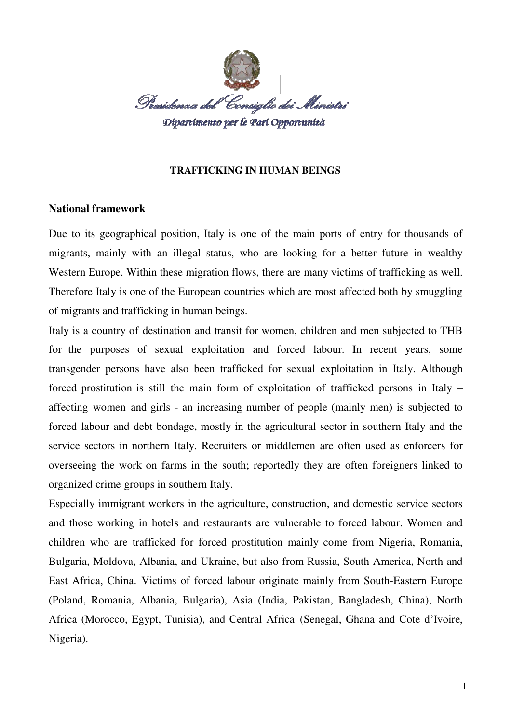

## **TRAFFICKING IN HUMAN BEINGS**

# **National framework**

Due to its geographical position, Italy is one of the main ports of entry for thousands of migrants, mainly with an illegal status, who are looking for a better future in wealthy Western Europe. Within these migration flows, there are many victims of trafficking as well. Therefore Italy is one of the European countries which are most affected both by smuggling of migrants and trafficking in human beings.

Italy is a country of destination and transit for women, children and men subjected to THB for the purposes of sexual exploitation and forced labour. In recent years, some transgender persons have also been trafficked for sexual exploitation in Italy. Although forced prostitution is still the main form of exploitation of trafficked persons in Italy – affecting women and girls - an increasing number of people (mainly men) is subjected to forced labour and debt bondage, mostly in the agricultural sector in southern Italy and the service sectors in northern Italy. Recruiters or middlemen are often used as enforcers for overseeing the work on farms in the south; reportedly they are often foreigners linked to organized crime groups in southern Italy.

Especially immigrant workers in the agriculture, construction, and domestic service sectors and those working in hotels and restaurants are vulnerable to forced labour. Women and children who are trafficked for forced prostitution mainly come from Nigeria, Romania, Bulgaria, Moldova, Albania, and Ukraine, but also from Russia, South America, North and East Africa, China. Victims of forced labour originate mainly from South-Eastern Europe (Poland, Romania, Albania, Bulgaria), Asia (India, Pakistan, Bangladesh, China), North Africa (Morocco, Egypt, Tunisia), and Central Africa (Senegal, Ghana and Cote d'Ivoire, Nigeria).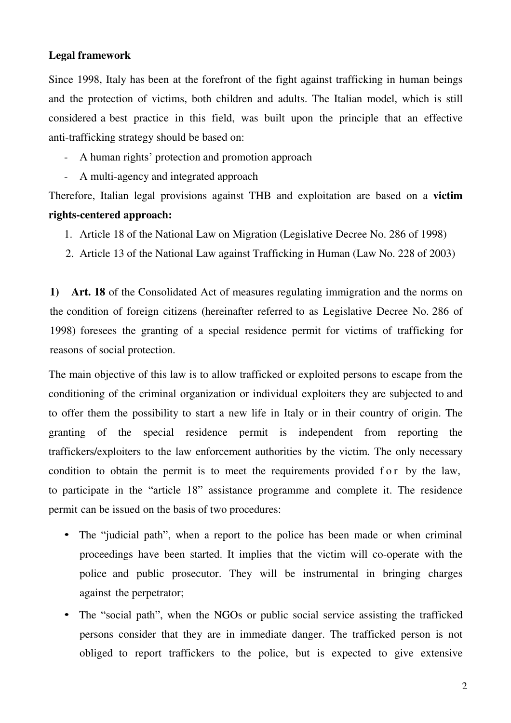# **Legal framework**

Since 1998, Italy has been at the forefront of the fight against trafficking in human beings and the protection of victims, both children and adults. The Italian model, which is still considered a best practice in this field, was built upon the principle that an effective anti-trafficking strategy should be based on:

- A human rights' protection and promotion approach
- A multi-agency and integrated approach

Therefore, Italian legal provisions against THB and exploitation are based on a **victim rights-centered approach:**

- 1. Article 18 of the National Law on Migration (Legislative Decree No. 286 of 1998)
- 2. Article 13 of the National Law against Trafficking in Human (Law No. 228 of 2003)

**1) Art. 18** of the Consolidated Act of measures regulating immigration and the norms on the condition of foreign citizens (hereinafter referred to as Legislative Decree No. 286 of 1998) foresees the granting of a special residence permit for victims of trafficking for reasons of social protection.

The main objective of this law is to allow trafficked or exploited persons to escape from the conditioning of the criminal organization or individual exploiters they are subjected to and to offer them the possibility to start a new life in Italy or in their country of origin. The granting of the special residence permit is independent from reporting the traffickers/exploiters to the law enforcement authorities by the victim. The only necessary condition to obtain the permit is to meet the requirements provided f or by the law, to participate in the "article 18" assistance programme and complete it. The residence permit can be issued on the basis of two procedures:

- The "judicial path", when a report to the police has been made or when criminal proceedings have been started. It implies that the victim will co-operate with the police and public prosecutor. They will be instrumental in bringing charges against the perpetrator;
- The "social path", when the NGOs or public social service assisting the trafficked persons consider that they are in immediate danger. The trafficked person is not obliged to report traffickers to the police, but is expected to give extensive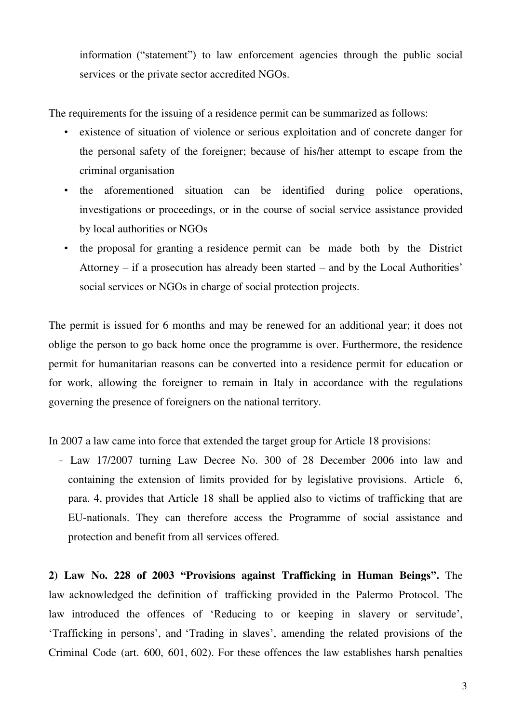information ("statement") to law enforcement agencies through the public social services or the private sector accredited NGOs.

The requirements for the issuing of a residence permit can be summarized as follows:

- existence of situation of violence or serious exploitation and of concrete danger for the personal safety of the foreigner; because of his/her attempt to escape from the criminal organisation
- the aforementioned situation can be identified during police operations, investigations or proceedings, or in the course of social service assistance provided by local authorities or NGOs
- the proposal for granting a residence permit can be made both by the District Attorney – if a prosecution has already been started – and by the Local Authorities' social services or NGOs in charge of social protection projects.

The permit is issued for 6 months and may be renewed for an additional year; it does not oblige the person to go back home once the programme is over. Furthermore, the residence permit for humanitarian reasons can be converted into a residence permit for education or for work, allowing the foreigner to remain in Italy in accordance with the regulations governing the presence of foreigners on the national territory.

In 2007 a law came into force that extended the target group for Article 18 provisions:

<sup>−</sup> Law 17/2007 turning Law Decree No. 300 of 28 December 2006 into law and containing the extension of limits provided for by legislative provisions. Article 6, para. 4, provides that Article 18 shall be applied also to victims of trafficking that are EU-nationals. They can therefore access the Programme of social assistance and protection and benefit from all services offered.

**2) Law No. 228 of 2003 "Provisions against Trafficking in Human Beings".** The law acknowledged the definition of trafficking provided in the Palermo Protocol. The law introduced the offences of 'Reducing to or keeping in slavery or servitude', 'Trafficking in persons', and 'Trading in slaves', amending the related provisions of the Criminal Code (art. 600, 601, 602). For these offences the law establishes harsh penalties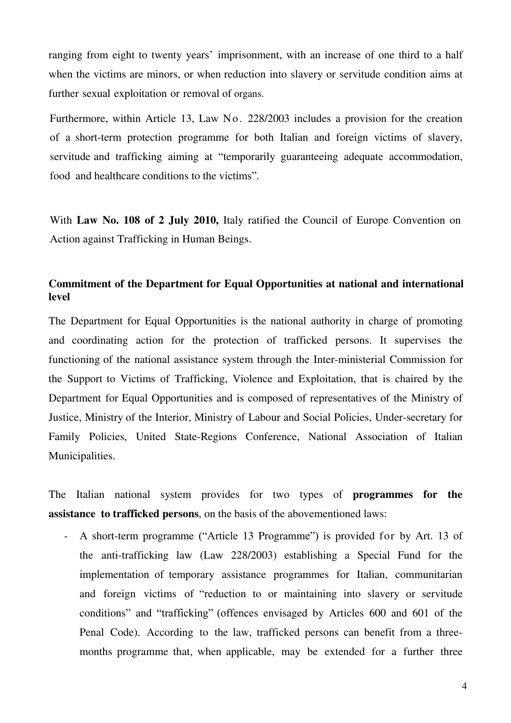ranging from eight to twenty years' imprisonment, with an increase of one third to a half when the victims are minors, or when reduction into slavery or servitude condition aims at further sexual exploitation or removal of organs.

Furthermore, within Article 13, Law No. 228/2003 includes a provision for the creation of a short-term protection programme for both Italian and foreign victims of slavery, servitude and trafficking aiming at "temporarily guaranteeing adequate accommodation, food and healthcare conditions to the victims".

With **Law No. 108 of 2 July 2010,** Italy ratified the Council of Europe Convention on Action against Trafficking in Human Beings.

# **Commitment of the Department for Equal Opportunities at national and international level**

The Department for Equal Opportunities is the national authority in charge of promoting and coordinating action for the protection of trafficked persons. It supervises the functioning of the national assistance system through the Inter-ministerial Commission for the Support to Victims of Trafficking, Violence and Exploitation, that is chaired by the Department for Equal Opportunities and is composed of representatives of the Ministry of Justice, Ministry of the Interior, Ministry of Labour and Social Policies, Under-secretary for Family Policies, United State-Regions Conference, National Association of Italian Municipalities.

The Italian national system provides for two types of **programmes for the assistance to trafficked persons**, on the basis of the abovementioned laws:

- A short-term programme ("Article 13 Programme") is provided for by Art. 13 of the anti-trafficking law (Law 228/2003) establishing a Special Fund for the implementation of temporary assistance programmes for Italian, communitarian and foreign victims of "reduction to or maintaining into slavery or servitude conditions" and "trafficking" (offences envisaged by Articles 600 and 601 of the Penal Code). According to the law, trafficked persons can benefit from a threemonths programme that, when applicable, may be extended for a further three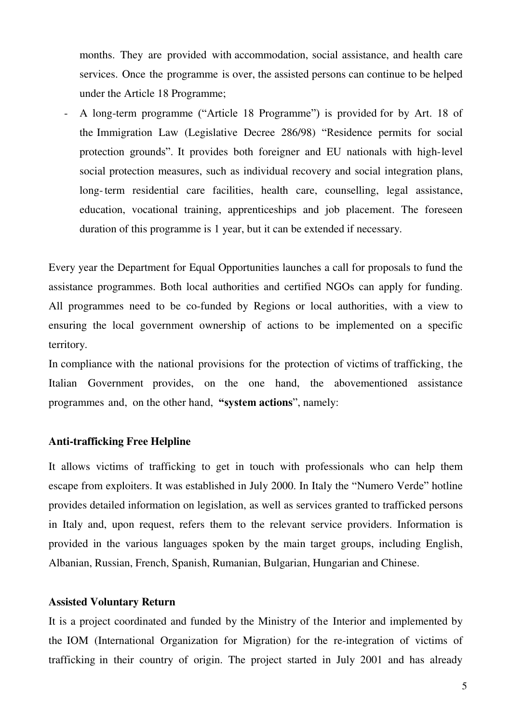months. They are provided with accommodation, social assistance, and health care services. Once the programme is over, the assisted persons can continue to be helped under the Article 18 Programme;

- A long-term programme ("Article 18 Programme") is provided for by Art. 18 of the Immigration Law (Legislative Decree 286/98) "Residence permits for social protection grounds". It provides both foreigner and EU nationals with high-level social protection measures, such as individual recovery and social integration plans, long- term residential care facilities, health care, counselling, legal assistance, education, vocational training, apprenticeships and job placement. The foreseen duration of this programme is 1 year, but it can be extended if necessary.

Every year the Department for Equal Opportunities launches a call for proposals to fund the assistance programmes. Both local authorities and certified NGOs can apply for funding. All programmes need to be co-funded by Regions or local authorities, with a view to ensuring the local government ownership of actions to be implemented on a specific territory.

In compliance with the national provisions for the protection of victims of trafficking, the Italian Government provides, on the one hand, the abovementioned assistance programmes and, on the other hand, **"system actions**", namely:

## **Anti-trafficking Free Helpline**

It allows victims of trafficking to get in touch with professionals who can help them escape from exploiters. It was established in July 2000. In Italy the "Numero Verde" hotline provides detailed information on legislation, as well as services granted to trafficked persons in Italy and, upon request, refers them to the relevant service providers. Information is provided in the various languages spoken by the main target groups, including English, Albanian, Russian, French, Spanish, Rumanian, Bulgarian, Hungarian and Chinese.

# **Assisted Voluntary Return**

It is a project coordinated and funded by the Ministry of the Interior and implemented by the IOM (International Organization for Migration) for the re-integration of victims of trafficking in their country of origin. The project started in July 2001 and has already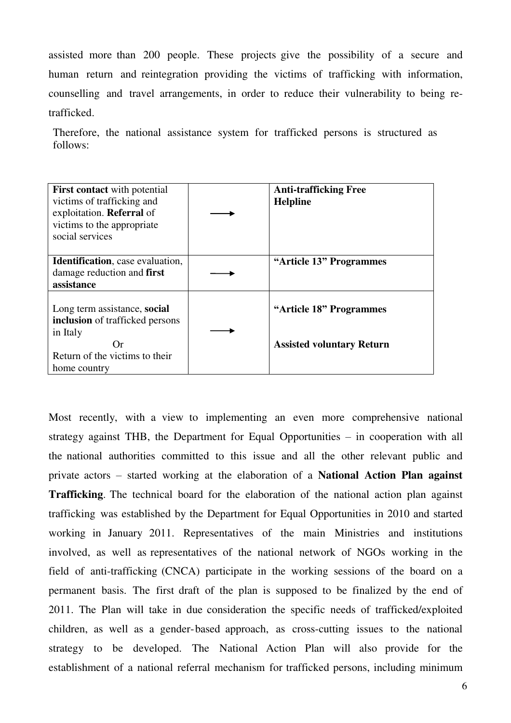assisted more than 200 people. These projects give the possibility of a secure and human return and reintegration providing the victims of trafficking with information, counselling and travel arrangements, in order to reduce their vulnerability to being retrafficked.

Therefore, the national assistance system for trafficked persons is structured as follows:

| <b>First contact</b> with potential<br>victims of trafficking and<br>exploitation. Referral of<br>victims to the appropriate<br>social services | <b>Anti-trafficking Free</b><br><b>Helpline</b>             |
|-------------------------------------------------------------------------------------------------------------------------------------------------|-------------------------------------------------------------|
| <b>Identification</b> , case evaluation,<br>damage reduction and first<br>assistance                                                            | "Article 13" Programmes                                     |
| Long term assistance, social<br>inclusion of trafficked persons<br>in Italy<br>( )r<br>Return of the victims to their<br>home country           | "Article 18" Programmes<br><b>Assisted voluntary Return</b> |

Most recently, with a view to implementing an even more comprehensive national strategy against THB, the Department for Equal Opportunities – in cooperation with all the national authorities committed to this issue and all the other relevant public and private actors – started working at the elaboration of a **National Action Plan against Trafficking**. The technical board for the elaboration of the national action plan against trafficking was established by the Department for Equal Opportunities in 2010 and started working in January 2011. Representatives of the main Ministries and institutions involved, as well as representatives of the national network of NGOs working in the field of anti-trafficking (CNCA) participate in the working sessions of the board on a permanent basis. The first draft of the plan is supposed to be finalized by the end of 2011. The Plan will take in due consideration the specific needs of trafficked/exploited children, as well as a gender-based approach, as cross-cutting issues to the national strategy to be developed. The National Action Plan will also provide for the establishment of a national referral mechanism for trafficked persons, including minimum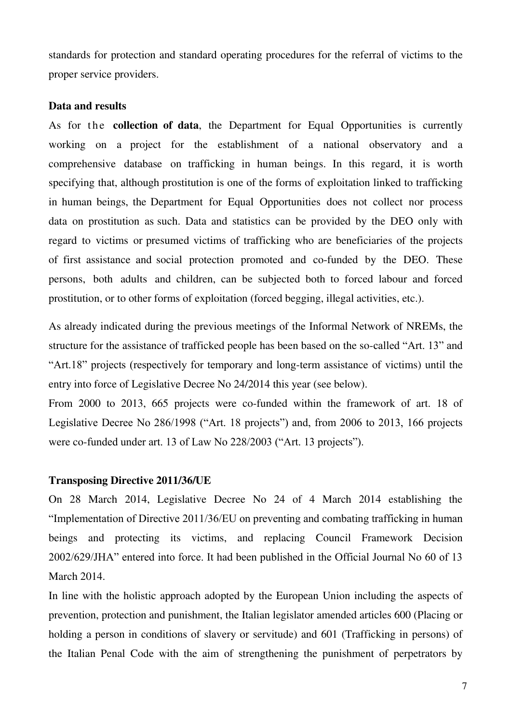standards for protection and standard operating procedures for the referral of victims to the proper service providers.

#### **Data and results**

As for the **collection of data**, the Department for Equal Opportunities is currently working on a project for the establishment of a national observatory and a comprehensive database on trafficking in human beings. In this regard, it is worth specifying that, although prostitution is one of the forms of exploitation linked to trafficking in human beings, the Department for Equal Opportunities does not collect nor process data on prostitution as such. Data and statistics can be provided by the DEO only with regard to victims or presumed victims of trafficking who are beneficiaries of the projects of first assistance and social protection promoted and co-funded by the DEO. These persons, both adults and children, can be subjected both to forced labour and forced prostitution, or to other forms of exploitation (forced begging, illegal activities, etc.).

As already indicated during the previous meetings of the Informal Network of NREMs, the structure for the assistance of trafficked people has been based on the so-called "Art. 13" and "Art.18" projects (respectively for temporary and long-term assistance of victims) until the entry into force of Legislative Decree No 24/2014 this year (see below).

From 2000 to 2013, 665 projects were co-funded within the framework of art. 18 of Legislative Decree No 286/1998 ("Art. 18 projects") and, from 2006 to 2013, 166 projects were co-funded under art. 13 of Law No 228/2003 ("Art. 13 projects").

#### **Transposing Directive 2011/36/UE**

On 28 March 2014, Legislative Decree No 24 of 4 March 2014 establishing the "Implementation of Directive 2011/36/EU on preventing and combating trafficking in human beings and protecting its victims, and replacing Council Framework Decision 2002/629/JHA" entered into force. It had been published in the Official Journal No 60 of 13 March 2014.

In line with the holistic approach adopted by the European Union including the aspects of prevention, protection and punishment, the Italian legislator amended articles 600 (Placing or holding a person in conditions of slavery or servitude) and 601 (Trafficking in persons) of the Italian Penal Code with the aim of strengthening the punishment of perpetrators by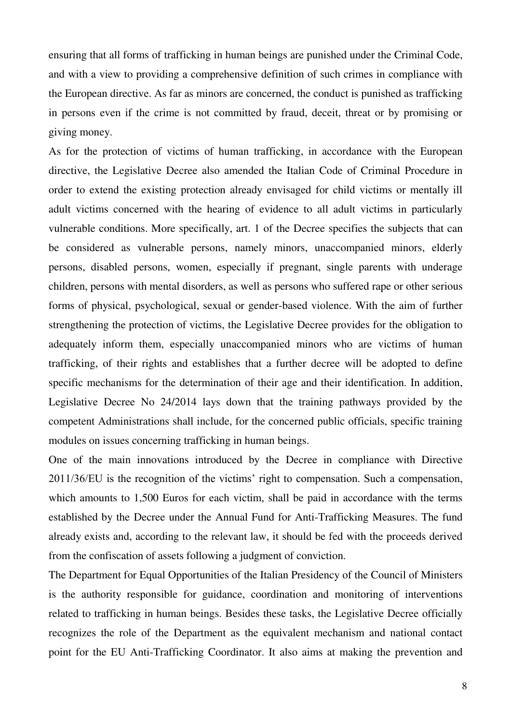ensuring that all forms of trafficking in human beings are punished under the Criminal Code, and with a view to providing a comprehensive definition of such crimes in compliance with the European directive. As far as minors are concerned, the conduct is punished as trafficking in persons even if the crime is not committed by fraud, deceit, threat or by promising or giving money.

As for the protection of victims of human trafficking, in accordance with the European directive, the Legislative Decree also amended the Italian Code of Criminal Procedure in order to extend the existing protection already envisaged for child victims or mentally ill adult victims concerned with the hearing of evidence to all adult victims in particularly vulnerable conditions. More specifically, art. 1 of the Decree specifies the subjects that can be considered as vulnerable persons, namely minors, unaccompanied minors, elderly persons, disabled persons, women, especially if pregnant, single parents with underage children, persons with mental disorders, as well as persons who suffered rape or other serious forms of physical, psychological, sexual or gender-based violence. With the aim of further strengthening the protection of victims, the Legislative Decree provides for the obligation to adequately inform them, especially unaccompanied minors who are victims of human trafficking, of their rights and establishes that a further decree will be adopted to define specific mechanisms for the determination of their age and their identification. In addition, Legislative Decree No 24/2014 lays down that the training pathways provided by the competent Administrations shall include, for the concerned public officials, specific training modules on issues concerning trafficking in human beings.

One of the main innovations introduced by the Decree in compliance with Directive 2011/36/EU is the recognition of the victims' right to compensation. Such a compensation, which amounts to 1,500 Euros for each victim, shall be paid in accordance with the terms established by the Decree under the Annual Fund for Anti-Trafficking Measures. The fund already exists and, according to the relevant law, it should be fed with the proceeds derived from the confiscation of assets following a judgment of conviction.

The Department for Equal Opportunities of the Italian Presidency of the Council of Ministers is the authority responsible for guidance, coordination and monitoring of interventions related to trafficking in human beings. Besides these tasks, the Legislative Decree officially recognizes the role of the Department as the equivalent mechanism and national contact point for the EU Anti-Trafficking Coordinator. It also aims at making the prevention and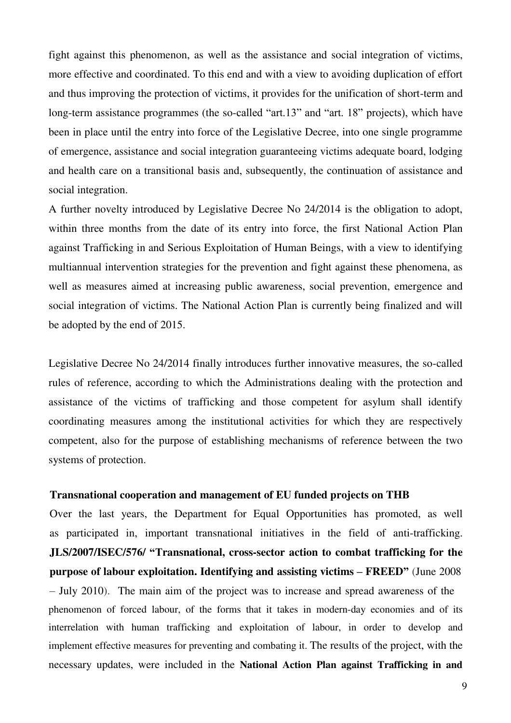fight against this phenomenon, as well as the assistance and social integration of victims, more effective and coordinated. To this end and with a view to avoiding duplication of effort and thus improving the protection of victims, it provides for the unification of short-term and long-term assistance programmes (the so-called "art.13" and "art. 18" projects), which have been in place until the entry into force of the Legislative Decree, into one single programme of emergence, assistance and social integration guaranteeing victims adequate board, lodging and health care on a transitional basis and, subsequently, the continuation of assistance and social integration.

A further novelty introduced by Legislative Decree No 24/2014 is the obligation to adopt, within three months from the date of its entry into force, the first National Action Plan against Trafficking in and Serious Exploitation of Human Beings, with a view to identifying multiannual intervention strategies for the prevention and fight against these phenomena, as well as measures aimed at increasing public awareness, social prevention, emergence and social integration of victims. The National Action Plan is currently being finalized and will be adopted by the end of 2015.

Legislative Decree No 24/2014 finally introduces further innovative measures, the so-called rules of reference, according to which the Administrations dealing with the protection and assistance of the victims of trafficking and those competent for asylum shall identify coordinating measures among the institutional activities for which they are respectively competent, also for the purpose of establishing mechanisms of reference between the two systems of protection.

#### **Transnational cooperation and management of EU funded projects on THB**

Over the last years, the Department for Equal Opportunities has promoted, as well as participated in, important transnational initiatives in the field of anti-trafficking. **JLS/2007/ISEC/576/ "Transnational, cross-sector action to combat trafficking for the purpose of labour exploitation. Identifying and assisting victims – FREED"** (June 2008 – July 2010). The main aim of the project was to increase and spread awareness of the phenomenon of forced labour, of the forms that it takes in modern-day economies and of its interrelation with human trafficking and exploitation of labour, in order to develop and implement effective measures for preventing and combating it. The results of the project, with the necessary updates, were included in the **National Action Plan against Trafficking in and**